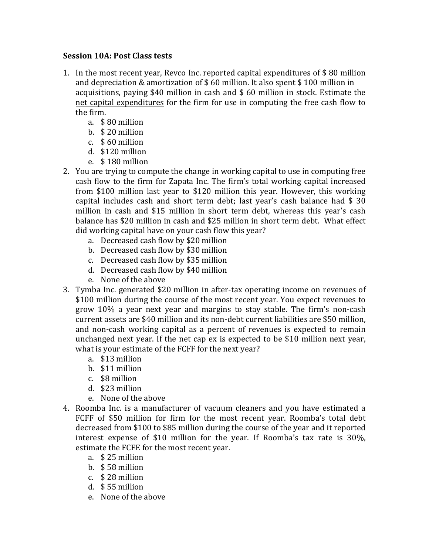## **Session 10A: Post Class tests**

- 1. In the most recent year, Revco Inc. reported capital expenditures of \$80 million and depreciation  $&$  amortization of  $\frac{1}{2}$  60 million. It also spent  $\frac{1}{2}$  100 million in acquisitions, paying  $$40$  million in cash and  $$60$  million in stock. Estimate the net capital expenditures for the firm for use in computing the free cash flow to the firm.
	- a. \$80 million
	- b.  $$20$  million
	- c.  $$60$  million
	- d. \$120 million
	- e.  $$180$  million
- 2. You are trying to compute the change in working capital to use in computing free cash flow to the firm for Zapata Inc. The firm's total working capital increased from \$100 million last year to \$120 million this year. However, this working capital includes cash and short term debt; last year's cash balance had  $$30$ million in cash and \$15 million in short term debt, whereas this year's cash balance has \$20 million in cash and \$25 million in short term debt. What effect did working capital have on your cash flow this year?
	- a. Decreased cash flow by \$20 million
	- b. Decreased cash flow by \$30 million
	- c. Decreased cash flow by \$35 million
	- d. Decreased cash flow by \$40 million
	- e. None of the above
- 3. Tymba Inc. generated \$20 million in after-tax operating income on revenues of \$100 million during the course of the most recent year. You expect revenues to grow 10% a year next year and margins to stay stable. The firm's non-cash current assets are \$40 million and its non-debt current liabilities are \$50 million, and non-cash working capital as a percent of revenues is expected to remain unchanged next year. If the net cap ex is expected to be \$10 million next year, what is your estimate of the FCFF for the next year?
	- a. \$13 million
	- b. \$11 million
	- c. \$8 million
	- d. \$23 million
	- e. None of the above
- 4. Roomba Inc. is a manufacturer of vacuum cleaners and you have estimated a FCFF of \$50 million for firm for the most recent year. Roomba's total debt decreased from \$100 to \$85 million during the course of the year and it reported interest expense of \$10 million for the year. If Roomba's tax rate is  $30\%$ , estimate the FCFE for the most recent year.
	- a.  $$25$  million
	- b.  $$58$  million
	- c. \$28 million
	- d.  $$55$  million
	- e. None of the above